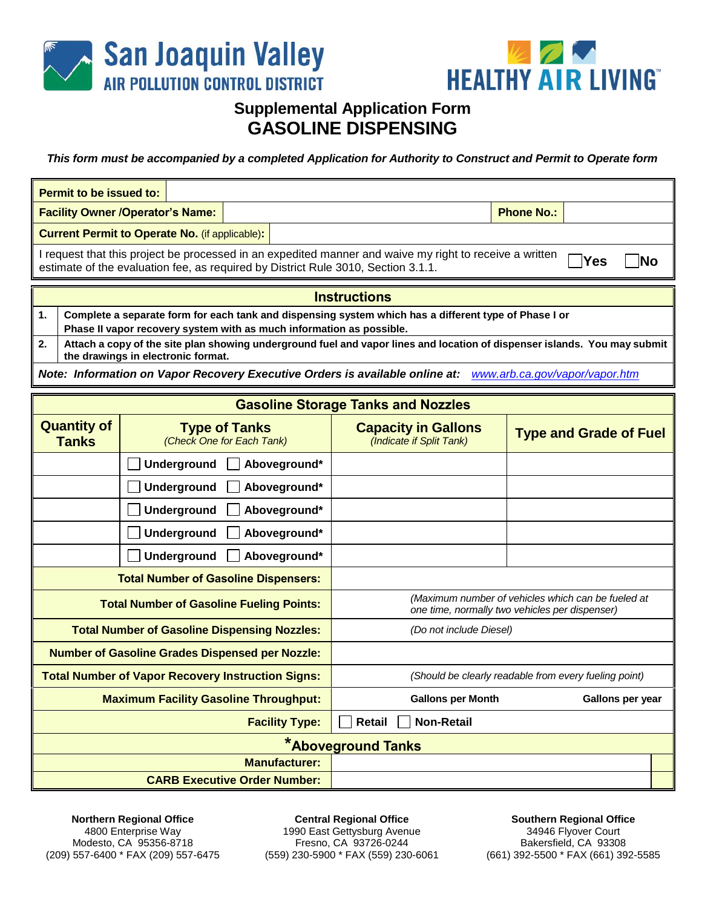



## **Supplemental Application Form GASOLINE DISPENSING**

*This form must be accompanied by a completed Application for Authority to Construct and Permit to Operate form*

| <b>Permit to be issued to:</b>                                                                              |                                                                                                                                                                               |                    |                      |                                                                                                                                                                                              |  |                                                        |                   |                               |  |
|-------------------------------------------------------------------------------------------------------------|-------------------------------------------------------------------------------------------------------------------------------------------------------------------------------|--------------------|----------------------|----------------------------------------------------------------------------------------------------------------------------------------------------------------------------------------------|--|--------------------------------------------------------|-------------------|-------------------------------|--|
| <b>Facility Owner /Operator's Name:</b>                                                                     |                                                                                                                                                                               |                    |                      |                                                                                                                                                                                              |  |                                                        | <b>Phone No.:</b> |                               |  |
| <b>Current Permit to Operate No. (if applicable):</b>                                                       |                                                                                                                                                                               |                    |                      |                                                                                                                                                                                              |  |                                                        |                   |                               |  |
|                                                                                                             |                                                                                                                                                                               |                    |                      | I request that this project be processed in an expedited manner and waive my right to receive a written<br>estimate of the evaluation fee, as required by District Rule 3010, Section 3.1.1. |  |                                                        |                   | Yes<br>Nο                     |  |
|                                                                                                             | <b>Instructions</b>                                                                                                                                                           |                    |                      |                                                                                                                                                                                              |  |                                                        |                   |                               |  |
| 1.                                                                                                          | Complete a separate form for each tank and dispensing system which has a different type of Phase I or<br>Phase II vapor recovery system with as much information as possible. |                    |                      |                                                                                                                                                                                              |  |                                                        |                   |                               |  |
| 2.                                                                                                          | Attach a copy of the site plan showing underground fuel and vapor lines and location of dispenser islands. You may submit<br>the drawings in electronic format.               |                    |                      |                                                                                                                                                                                              |  |                                                        |                   |                               |  |
| Note: Information on Vapor Recovery Executive Orders is available online at: www.arb.ca.gov/vapor/vapor.htm |                                                                                                                                                                               |                    |                      |                                                                                                                                                                                              |  |                                                        |                   |                               |  |
| <b>Gasoline Storage Tanks and Nozzles</b>                                                                   |                                                                                                                                                                               |                    |                      |                                                                                                                                                                                              |  |                                                        |                   |                               |  |
|                                                                                                             |                                                                                                                                                                               |                    |                      |                                                                                                                                                                                              |  |                                                        |                   |                               |  |
|                                                                                                             | <b>Quantity of</b><br><b>Tanks</b>                                                                                                                                            |                    | <b>Type of Tanks</b> | (Check One for Each Tank)                                                                                                                                                                    |  | <b>Capacity in Gallons</b><br>(Indicate if Split Tank) |                   | <b>Type and Grade of Fuel</b> |  |
|                                                                                                             |                                                                                                                                                                               | <b>Underground</b> |                      | Aboveground*                                                                                                                                                                                 |  |                                                        |                   |                               |  |
|                                                                                                             |                                                                                                                                                                               | <b>Underground</b> |                      | Aboveground*                                                                                                                                                                                 |  |                                                        |                   |                               |  |
|                                                                                                             |                                                                                                                                                                               | <b>Underground</b> |                      | Aboveground*                                                                                                                                                                                 |  |                                                        |                   |                               |  |
|                                                                                                             |                                                                                                                                                                               | <b>Underground</b> |                      | Aboveground*                                                                                                                                                                                 |  |                                                        |                   |                               |  |
|                                                                                                             |                                                                                                                                                                               | <b>Underground</b> |                      | Aboveground*                                                                                                                                                                                 |  |                                                        |                   |                               |  |

| <b>Total Number of Gasoline Fueling Points:</b>                                                                   | (Maximum number of vehicles which can be fueled at<br>one time, normally two vehicles per dispenser) |                  |  |  |  |  |
|-------------------------------------------------------------------------------------------------------------------|------------------------------------------------------------------------------------------------------|------------------|--|--|--|--|
| <b>Total Number of Gasoline Dispensing Nozzles:</b>                                                               | (Do not include Diesel)                                                                              |                  |  |  |  |  |
| <b>Number of Gasoline Grades Dispensed per Nozzle:</b>                                                            |                                                                                                      |                  |  |  |  |  |
| <b>Total Number of Vapor Recovery Instruction Signs:</b><br>(Should be clearly readable from every fueling point) |                                                                                                      |                  |  |  |  |  |
| <b>Maximum Facility Gasoline Throughput:</b>                                                                      | <b>Gallons per Month</b>                                                                             | Gallons per year |  |  |  |  |
| <b>Facility Type:</b>                                                                                             | Retail<br><b>Non-Retail</b>                                                                          |                  |  |  |  |  |
| <b>*Aboveground Tanks</b>                                                                                         |                                                                                                      |                  |  |  |  |  |
| <b>Manufacturer:</b>                                                                                              |                                                                                                      |                  |  |  |  |  |
| <b>CARB Executive Order Number:</b>                                                                               |                                                                                                      |                  |  |  |  |  |

**Northern Regional Office** 4800 Enterprise Way Modesto, CA 95356-8718 (209) 557-6400 \* FAX (209) 557-6475

**Central Regional Office** 1990 East Gettysburg Avenue Fresno, CA 93726-0244 (559) 230-5900 \* FAX (559) 230-6061

**Southern Regional Office** 34946 Flyover Court Bakersfield, CA 93308 (661) 392-5500 \* FAX (661) 392-5585